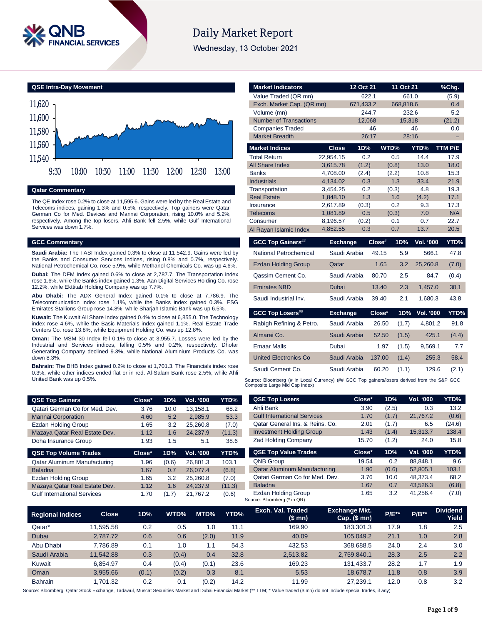

# **Daily Market Report**

Wednesday, 13 October 2021

**QSE Intra-Day Movement** 11,540 11,560 11,580 11,600 11,620 9:30 10:00 10:30 11:00 11:30 12:00 12:30 13:00

## **Qatar Commentary**

The QE Index rose 0.2% to close at 11,595.6. Gains were led by the Real Estate and Telecoms indices, gaining 1.3% and 0.5%, respectively. Top gainers were Qatari German Co for Med. Devices and Mannai Corporation, rising 10.0% and 5.2%, respectively. Among the top losers, Ahli Bank fell 2.5%, while Gulf International Services was down 1.7%.

#### **GCC Commentary**

**Saudi Arabia:** The TASI Index gained 0.3% to close at 11,542.9. Gains were led by the Banks and Consumer Services indices, rising 0.8% and 0.7%, respectively. National Petrochemical Co. rose 5.9%, while Methanol Chemicals Co. was up 4.6%.

**Dubai:** The DFM Index gained 0.6% to close at 2,787.7. The Transportation index rose 1.6%, while the Banks index gained 1.3%. Aan Digital Services Holding Co. rose 12.2%, while Ekttitab Holding Company was up 7.7%.

**Abu Dhabi:** The ADX General Index gained 0.1% to close at 7,786.9. The Telecommunication index rose 1.1%, while the Banks index gained 0.3%. ESG Emirates Stallions Group rose 14.8%, while Sharjah Islamic Bank was up 6.5%.

**Kuwait:** The Kuwait All Share Index gained 0.4% to close at 6,855.0. The Technology index rose 4.6%, while the Basic Materials index gained 1.1%. Real Estate Trade Centers Co. rose 13.8%, while Equipment Holding Co. was up 12.8%.

**Oman:** The MSM 30 Index fell 0.1% to close at 3,955.7. Losses were led by the Industrial and Services indices, falling 0.5% and 0.2%, respectively. Dhofar Generating Company declined 9.3%, while National Aluminium Products Co. was down 8.3%.

**Bahrain:** The BHB Index gained 0.2% to close at 1,701.3. The Financials index rose 0.3%, while other indices ended flat or in red. Al-Salam Bank rose 2.5%, while Ahli United Bank was up 0.5%.

| <b>QSE Top Gainers</b>         | Close* | 1D%  | <b>Vol. '000</b> | YTD%   |
|--------------------------------|--------|------|------------------|--------|
| Qatari German Co for Med. Dev. | 3.76   | 10.0 | 13.158.1         | 68.2   |
| <b>Mannai Corporation</b>      | 4.60   | 5.2  | 2.985.9          | 53.3   |
| <b>Ezdan Holding Group</b>     | 1.65   | 3.2  | 25.260.8         | (7.0)  |
| Mazaya Qatar Real Estate Dev.  | 1.12   | 1.6  | 24.237.9         | (11.3) |
| Doha Insurance Group           | 1.93   | 1.5  | 5.1              | 38.6   |

| <b>QSE Top Volume Trades</b>       | Close* | 1D%   | Vol. '000 | YTD%   |
|------------------------------------|--------|-------|-----------|--------|
| Qatar Aluminum Manufacturing       | 1.96   | (0.6) | 26,801.3  | 103.1  |
| <b>Baladna</b>                     | 1.67   | 0.7   | 26.077.4  | (6.8)  |
| <b>Ezdan Holding Group</b>         | 1.65   | 3.2   | 25.260.8  | (7.0)  |
| Mazaya Qatar Real Estate Dev.      | 1.12   | 1.6   | 24.237.9  | (11.3) |
| <b>Gulf International Services</b> | 1.70   | (1.7) | 21.767.2  | (0.6)  |

| <b>Market Indicators</b>                                                                    |                      | 12 Oct 21    | 11 Oct 21       |                  | %Chg.        |
|---------------------------------------------------------------------------------------------|----------------------|--------------|-----------------|------------------|--------------|
| Value Traded (QR mn)                                                                        |                      | 622.1        |                 | 661.0            | (5.9)        |
| Exch. Market Cap. (QR mn)                                                                   |                      | 671,433.2    | 668,818.6       |                  | 0.4          |
| Volume (mn)                                                                                 |                      | 244.7        |                 | 232.6            | 5.2          |
| <b>Number of Transactions</b>                                                               |                      | 12,068       | 15,318          |                  | (21.2)       |
| <b>Companies Traded</b>                                                                     |                      | 46           |                 | 46               | 0.0          |
| <b>Market Breadth</b>                                                                       |                      | 26:17        |                 | 28:16            | ÷,           |
| <b>Market Indices</b>                                                                       | <b>Close</b>         | 1D%          | WTD%            | YTD%             | TTM P/E      |
| <b>Total Return</b>                                                                         | 22,954.15            | 0.2          | 0.5             | 14.4             | 17.9         |
| All Share Index                                                                             | 3,615.78             | (1.2)        | (0.8)           | 13.0             | 18.0         |
| <b>Banks</b>                                                                                | 4.708.00             | (2.4)        | (2.2)           | 10.8             | 15.3         |
| <b>Industrials</b>                                                                          | 4.134.02             | 0.3          | 1.3             | 33.4             | 21.9         |
| Transportation                                                                              | 3,454.25             | 0.2          | (0.3)           | 4.8              | 19.3         |
| <b>Real Estate</b>                                                                          | 1,848.10             | 1.3          | 1.6             | (4.2)            | 17.1         |
| Insurance<br>Telecoms                                                                       | 2.617.89<br>1,081.89 | (0.3)<br>0.5 | 0.2<br>(0.3)    | 9.3<br>7.0       | 17.3<br>N/A  |
| Consumer                                                                                    | 8,196.57             | (0.2)        | 0.1             | 0.7              | 22.7         |
| Al Rayan Islamic Index                                                                      | 4,852.55             | 0.3          | 0.7             | 13.7             | 20.5         |
|                                                                                             |                      |              |                 |                  |              |
|                                                                                             |                      |              |                 |                  |              |
| <b>GCC Top Gainers##</b>                                                                    | <b>Exchange</b>      |              | Close#<br>1D%   | <b>Vol. '000</b> | YTD%         |
| National Petrochemical                                                                      | Saudi Arabia         |              | 49.15<br>5.9    | 566.1            | 47.8         |
| <b>Ezdan Holding Group</b>                                                                  | Qatar                |              | 3.2<br>1.65     | 25,260.8         | (7.0)        |
| Qassim Cement Co.                                                                           | Saudi Arabia         |              | 2.5<br>80.70    | 84.7             | (0.4)        |
| <b>Emirates NBD</b>                                                                         | Dubai                |              | 13.40<br>2.3    | 1,457.0          | 30.1         |
| Saudi Industrial Inv.                                                                       | Saudi Arabia         |              | 2.1<br>39.40    | 1,680.3          | 43.8         |
|                                                                                             | <b>Exchange</b>      |              | Close#<br>1D%   | <b>Vol. '000</b> |              |
| <b>GCC Top Losers##</b><br>Rabigh Refining & Petro.                                         | Saudi Arabia         |              | 26.50<br>(1.7)  | 4,801.2          | 91.8         |
| Almarai Co.                                                                                 | Saudi Arabia         |              | 52.50           | 425.1            |              |
| <b>Emaar Malls</b>                                                                          | Dubai                |              | (1.5)<br>1.97   |                  | (4.4)<br>7.7 |
| <b>United Electronics Co</b>                                                                | Saudi Arabia         |              | (1.5)           | 9,569.1<br>255.3 | 58.4         |
| Saudi Cement Co.                                                                            |                      |              | 137.00<br>(1.4) |                  | YTD%         |
| Source: Bloomberg (# in Local Currency) (## GCC Top gainers/losers derived from the S&P GCC | Saudi Arabia         |              | 60.20<br>(1.1)  | 129.6            | (2.1)        |

| <b>QSE Top Losers</b>               | Close* | 1D%   | Vol. '000 | YTD%   |
|-------------------------------------|--------|-------|-----------|--------|
| Ahli Bank                           | 3.90   | (2.5) | 0.3       | 13.2   |
| <b>Gulf International Services</b>  | 1.70   | (1.7) | 21,767.2  | (0.6)  |
| Oatar General Ins. & Reins. Co.     | 2.01   | (1.7) | 6.5       | (24.6) |
| <b>Investment Holding Group</b>     | 1.43   | (1.4) | 15,313.7  | 138.4  |
| <b>Zad Holding Company</b>          | 15.70  | (1.2) | 24.0      | 15.8   |
| <b>QSE Top Value Trades</b>         | Close* | 1D%   | Val. '000 | YTD%   |
| <b>QNB Group</b>                    | 19.54  | 0.2   | 88.848.1  | 9.6    |
| <b>Qatar Aluminum Manufacturing</b> | 1.96   | (0.6) | 52.805.1  | 103.1  |
| Qatari German Co for Med. Dev.      | 3.76   | 10.0  | 48.373.4  | 68.2   |
| <b>Baladna</b>                      | 1.67   | 0.7   | 43,526.3  | (6.8)  |
|                                     |        |       |           |        |

| <b>Regional Indices</b> | <b>Close</b> | 1D%   | WTD%  | MTD%  | YTD% | Exch. Val. Traded<br>(\$mn) | <b>Exchange Mkt.</b><br>$Cap.$ (\$ mn) | <b>P/E**</b> | $P/B**$ | <b>Dividend</b><br>Yield |
|-------------------------|--------------|-------|-------|-------|------|-----------------------------|----------------------------------------|--------------|---------|--------------------------|
| Qatar*                  | 11.595.58    | 0.2   | 0.5   | 1.0   | 11.1 | 169.90                      | 183.301.3                              | 17.9         | 1.8     | 2.5                      |
| Dubai                   | 2.787.72     | 0.6   | 0.6   | (2.0) | 11.9 | 40.09                       | 105.049.2                              | 21.1         | 1.0     | 2.8                      |
| Abu Dhabi               | 7.786.89     | 0.1   | 1.0   | 1.1   | 54.3 | 432.53                      | 368.688.5                              | 24.0         | 2.4     | 3.0                      |
| Saudi Arabia            | 11,542.88    | 0.3   | (0.4) | 0.4   | 32.8 | 2.513.82                    | 2,759,840.1                            | 28.3         | 2.5     | 2.2                      |
| Kuwait                  | 6.854.97     | 0.4   | (0.4) | (0.1) | 23.6 | 169.23                      | 131.433.7                              | 28.2         | 1.7     | 1.9                      |
| Oman                    | 3.955.66     | (0.1) | (0.2) | 0.3   | 8.1  | 5.53                        | 18.678.7                               | 11.8         | 0.8     | 3.9                      |
| <b>Bahrain</b>          | 1.701.32     | 0.2   | 0.1   | (0.2) | 14.2 | 11.99                       | 27.239.1                               | 12.0         | 0.8     | 3.2                      |

Source: Bloomberg (\* in QR)

Source: Bloomberg, Qatar Stock Exchange, Tadawul, Muscat Securities Market and Dubai Financial Market (\*\* TTM; \* Value traded (\$ mn) do not include special trades, if any)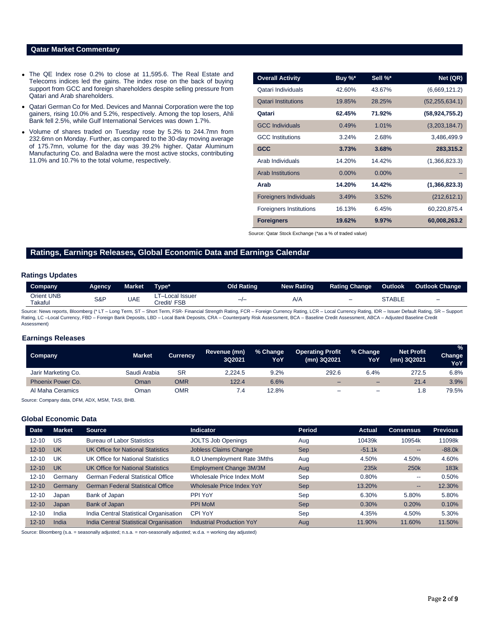## **Qatar Market Commentary**

- The QE Index rose 0.2% to close at 11,595.6. The Real Estate and Telecoms indices led the gains. The index rose on the back of buying support from GCC and foreign shareholders despite selling pressure from Qatari and Arab shareholders.
- Qatari German Co for Med. Devices and Mannai Corporation were the top gainers, rising 10.0% and 5.2%, respectively. Among the top losers, Ahli Bank fell 2.5%, while Gulf International Services was down 1.7%.
- Volume of shares traded on Tuesday rose by 5.2% to 244.7mn from 232.6mn on Monday. Further, as compared to the 30-day moving average of 175.7mn, volume for the day was 39.2% higher. Qatar Aluminum Manufacturing Co. and Baladna were the most active stocks, contributing 11.0% and 10.7% to the total volume, respectively.

| <b>Overall Activity</b>        | Buy %*   | Sell %*  | Net (QR)         |
|--------------------------------|----------|----------|------------------|
| Qatari Individuals             | 42.60%   | 43.67%   | (6,669,121.2)    |
| <b>Qatari Institutions</b>     | 19.85%   | 28.25%   | (52, 255, 634.1) |
| Qatari                         | 62.45%   | 71.92%   | (58, 924, 755.2) |
| <b>GCC Individuals</b>         | 0.49%    | 1.01%    | (3,203,184.7)    |
| <b>GCC</b> Institutions        | 3.24%    | 2.68%    | 3,486,499.9      |
| <b>GCC</b>                     | 3.73%    | 3.68%    | 283,315.2        |
| Arab Individuals               | 14.20%   | 14.42%   | (1,366,823.3)    |
| <b>Arab Institutions</b>       | $0.00\%$ | $0.00\%$ |                  |
| Arab                           | 14.20%   | 14.42%   | (1,366,823.3)    |
| <b>Foreigners Individuals</b>  | 3.49%    | 3.52%    | (212, 612.1)     |
| <b>Foreigners Institutions</b> | 16.13%   | 6.45%    | 60,220,875.4     |
| <b>Foreigners</b>              | 19.62%   | 9.97%    | 60,008,263.2     |

Source: Qatar Stock Exchange (\*as a % of traded value)

## **Ratings, Earnings Releases, Global Economic Data and Earnings Calendar**

#### **Ratings Updates**

| Company                      | Agency | Market | Type*                                | Old Rating | New Rating | <b>Rating Change</b> | Outlook | <b>Outlook Change</b>    |
|------------------------------|--------|--------|--------------------------------------|------------|------------|----------------------|---------|--------------------------|
| <b>Orient UNB</b><br>Takaful | S&P    | UAE    | Local Issuer<br><b>FSB</b><br>∟redit | $-1$       | A/A        | -                    | STABLE  | $\overline{\phantom{0}}$ |

Source: News reports, Bloomberg (\* LT – Long Term, ST – Short Term, FSR- Financial Strength Rating, FCR – Foreign Currency Rating, LCR – Local Currency Rating, IDR – Issuer Default Rating, SR – Support Rating, LC -Local Currency, FBD - Foreign Bank Deposits, LBD - Local Bank Deposits, CRA - Counterparty Risk Assessment, BCA - Baseline Credit Assessment, ABCA - Adjusted Baseline Credit Assessment)

## **Earnings Releases**

| <b>Company</b>      | Market       | <b>Currency</b> | Revenue (mn)<br>3Q2021 | % Change<br>YoY | <b>Operating Profit</b><br>(mn) 3Q2021 | % Change<br>YoY | <b>Net Profit</b><br>(mn) 3Q2021 | %<br>Change<br>YoY |
|---------------------|--------------|-----------------|------------------------|-----------------|----------------------------------------|-----------------|----------------------------------|--------------------|
| Jarir Marketing Co. | Saudi Arabia | <b>SR</b>       | 2.224.5                | 9.2%            | 292.6                                  | 6.4%            | 272.5                            | 6.8%               |
| Phoenix Power Co.   | Oman         | OMR             | 122.4                  | 6.6%            | $\overline{\phantom{0}}$               | $-$             | 21.4                             | 3.9%               |
| Al Maha Ceramics    | Oman         | OMR             |                        | 12.8%           | -                                      | $\equiv$        | 1.8                              | 79.5%              |

Source: Company data, DFM, ADX, MSM, TASI, BHB.

### **Global Economic Data**

| <b>Date</b> | <b>Market</b> | <b>Source</b>                            | <b>Indicator</b>                 | Period     | <b>Actual</b> | <b>Consensus</b>       | <b>Previous</b> |
|-------------|---------------|------------------------------------------|----------------------------------|------------|---------------|------------------------|-----------------|
| $12 - 10$   | US            | <b>Bureau of Labor Statistics</b>        | <b>JOLTS Job Openings</b>        | Aug        | 10439k        | 10954k                 | 11098k          |
| $12 - 10$   | <b>UK</b>     | UK Office for National Statistics        | <b>Jobless Claims Change</b>     | <b>Sep</b> | $-51.1k$      | $\qquad \qquad -$      | $-88.0k$        |
| $12 - 10$   | UK            | UK Office for National Statistics        | ILO Unemployment Rate 3Mths      | Aug        | 4.50%         | 4.50%                  | 4.60%           |
| $12 - 10$   | <b>UK</b>     | <b>UK Office for National Statistics</b> | Employment Change 3M/3M          | Aug        | 235k          | 250 <sub>k</sub>       | 183k            |
| $12 - 10$   | Germany       | <b>German Federal Statistical Office</b> | Wholesale Price Index MoM        | Sep        | 0.80%         | $- -$                  | 0.50%           |
| $12 - 10$   | Germany       | <b>German Federal Statistical Office</b> | Wholesale Price Index YoY        | <b>Sep</b> | 13.20%        | $\qquad \qquad \cdots$ | 12.30%          |
| $12 - 10$   | Japan         | Bank of Japan                            | PPI YoY                          | Sep        | 6.30%         | 5.80%                  | 5.80%           |
| $12 - 10$   | Japan         | Bank of Japan                            | <b>PPI MoM</b>                   | <b>Sep</b> | 0.30%         | 0.20%                  | 0.10%           |
| $12 - 10$   | India         | India Central Statistical Organisation   | CPI YoY                          | Sep        | 4.35%         | 4.50%                  | 5.30%           |
| $12 - 10$   | India         | India Central Statistical Organisation   | <b>Industrial Production YoY</b> | Aug        | 11.90%        | 11.60%                 | 11.50%          |

Source: Bloomberg (s.a. = seasonally adjusted; n.s.a. = non-seasonally adjusted; w.d.a. = working day adjusted)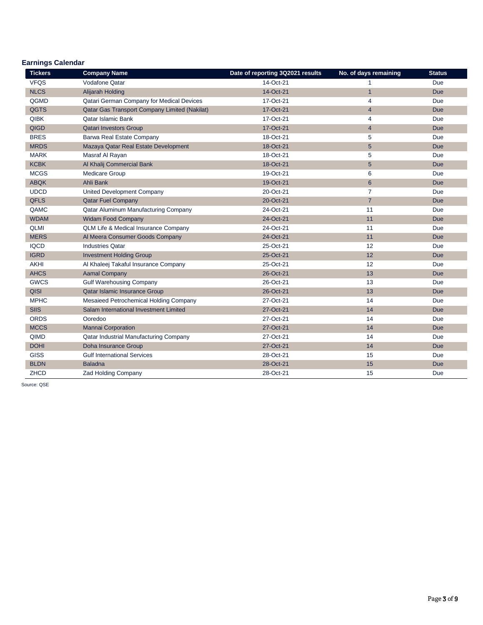## **Earnings Calendar**

| <b>Tickers</b> | <b>Company Name</b>                             | Date of reporting 3Q2021 results | No. of days remaining | <b>Status</b> |
|----------------|-------------------------------------------------|----------------------------------|-----------------------|---------------|
| <b>VFQS</b>    | <b>Vodafone Qatar</b>                           | 14-Oct-21                        |                       | Due           |
| <b>NLCS</b>    | Alijarah Holding                                | 14-Oct-21                        | 1                     | <b>Due</b>    |
| QGMD           | Qatari German Company for Medical Devices       | 17-Oct-21                        | 4                     | Due           |
| QGTS           | Qatar Gas Transport Company Limited (Nakilat)   | 17-Oct-21                        | $\overline{4}$        | <b>Due</b>    |
| <b>QIBK</b>    | Qatar Islamic Bank                              | 17-Oct-21                        | 4                     | Due           |
| QIGD           | <b>Qatari Investors Group</b>                   | 17-Oct-21                        | $\overline{4}$        | Due           |
| <b>BRES</b>    | Barwa Real Estate Company                       | 18-Oct-21                        | 5                     | Due           |
| <b>MRDS</b>    | Mazaya Qatar Real Estate Development            | 18-Oct-21                        | 5                     | <b>Due</b>    |
| <b>MARK</b>    | Masraf Al Rayan                                 | 18-Oct-21                        | 5                     | Due           |
| <b>KCBK</b>    | Al Khalij Commercial Bank                       | 18-Oct-21                        | 5 <sup>5</sup>        | <b>Due</b>    |
| <b>MCGS</b>    | <b>Medicare Group</b>                           | 19-Oct-21                        | 6                     | Due           |
| <b>ABQK</b>    | Ahli Bank                                       | 19-Oct-21                        | 6                     | <b>Due</b>    |
| <b>UDCD</b>    | <b>United Development Company</b>               | 20-Oct-21                        | $\overline{7}$        | Due           |
| <b>QFLS</b>    | <b>Qatar Fuel Company</b>                       | 20-Oct-21                        | $\overline{7}$        | <b>Due</b>    |
| QAMC           | Qatar Aluminum Manufacturing Company            | 24-Oct-21                        | 11                    | Due           |
| <b>WDAM</b>    | <b>Widam Food Company</b>                       | 24-Oct-21                        | 11                    | <b>Due</b>    |
| <b>QLMI</b>    | <b>QLM Life &amp; Medical Insurance Company</b> | 24-Oct-21                        | 11                    | Due           |
| <b>MERS</b>    | Al Meera Consumer Goods Company                 | 24-Oct-21                        | 11                    | <b>Due</b>    |
| <b>IQCD</b>    | <b>Industries Qatar</b>                         | 25-Oct-21                        | 12                    | Due           |
| <b>IGRD</b>    | <b>Investment Holding Group</b>                 | 25-Oct-21                        | 12                    | Due           |
| <b>AKHI</b>    | Al Khaleej Takaful Insurance Company            | 25-Oct-21                        | 12                    | Due           |
| <b>AHCS</b>    | <b>Aamal Company</b>                            | 26-Oct-21                        | 13                    | <b>Due</b>    |
| <b>GWCS</b>    | <b>Gulf Warehousing Company</b>                 | 26-Oct-21                        | 13                    | Due           |
| QISI           | <b>Qatar Islamic Insurance Group</b>            | 26-Oct-21                        | 13                    | Due           |
| <b>MPHC</b>    | Mesaieed Petrochemical Holding Company          | 27-Oct-21                        | 14                    | Due           |
| <b>SIIS</b>    | Salam International Investment Limited          | 27-Oct-21                        | 14                    | <b>Due</b>    |
| <b>ORDS</b>    | Ooredoo                                         | 27-Oct-21                        | 14                    | Due           |
| <b>MCCS</b>    | <b>Mannai Corporation</b>                       | 27-Oct-21                        | 14                    | <b>Due</b>    |
| QIMD           | Qatar Industrial Manufacturing Company          | 27-Oct-21                        | 14                    | Due           |
| <b>DOHI</b>    | Doha Insurance Group                            | 27-Oct-21                        | 14                    | Due           |
| <b>GISS</b>    | <b>Gulf International Services</b>              | 28-Oct-21                        | 15                    | Due           |
| <b>BLDN</b>    | <b>Baladna</b>                                  | 28-Oct-21                        | 15                    | <b>Due</b>    |
| ZHCD           | <b>Zad Holding Company</b>                      | 28-Oct-21                        | 15                    | Due           |

Source: QSE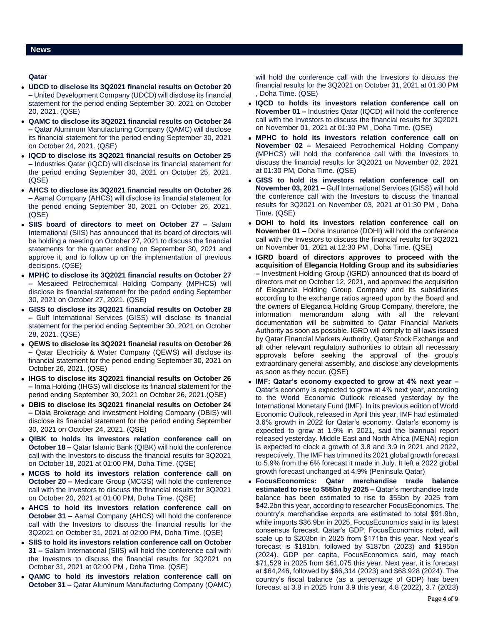### **News**

## **Qatar**

- **UDCD to disclose its 3Q2021 financial results on October 20 –** United Development Company (UDCD) will disclose its financial statement for the period ending September 30, 2021 on October 20, 2021. (QSE)
- **QAMC to disclose its 3Q2021 financial results on October 24 –** Qatar Aluminum Manufacturing Company (QAMC) will disclose its financial statement for the period ending September 30, 2021 on October 24, 2021. (QSE)
- **IQCD to disclose its 3Q2021 financial results on October 25 –** Industries Qatar (IQCD) will disclose its financial statement for the period ending September 30, 2021 on October 25, 2021. (QSE)
- **AHCS to disclose its 3Q2021 financial results on October 26 –** Aamal Company (AHCS) will disclose its financial statement for the period ending September 30, 2021 on October 26, 2021. (QSE)
- **SIIS board of directors to meet on October 27 –** Salam International (SIIS) has announced that its board of directors will be holding a meeting on October 27, 2021 to discuss the financial statements for the quarter ending on September 30, 2021 and approve it, and to follow up on the implementation of previous decisions. (QSE)
- **MPHC to disclose its 3Q2021 financial results on October 27 –** Mesaieed Petrochemical Holding Company (MPHCS) will disclose its financial statement for the period ending September 30, 2021 on October 27, 2021. (QSE)
- **GISS to disclose its 3Q2021 financial results on October 28 –** Gulf International Services (GISS) will disclose its financial statement for the period ending September 30, 2021 on October 28, 2021. (QSE)
- **QEWS to disclose its 3Q2021 financial results on October 26 –** Qatar Electricity & Water Company (QEWS) will disclose its financial statement for the period ending September 30, 2021 on October 26, 2021. (QSE)
- **IHGS to disclose its 3Q2021 financial results on October 26 –** Inma Holding (IHGS) will disclose its financial statement for the period ending September 30, 2021 on October 26, 2021.(QSE)
- **DBIS to disclose its 3Q2021 financial results on October 24 –** Dlala Brokerage and Investment Holding Company (DBIS) will disclose its financial statement for the period ending September 30, 2021 on October 24, 2021. (QSE)
- **QIBK to holds its investors relation conference call on October 18 –** Qatar Islamic Bank (QIBK) will hold the conference call with the Investors to discuss the financial results for 3Q2021 on October 18, 2021 at 01:00 PM, Doha Time. (QSE)
- **MCGS to hold its investors relation conference call on October 20 –** Medicare Group (MCGS) will hold the conference call with the Investors to discuss the financial results for 3Q2021 on October 20, 2021 at 01:00 PM, Doha Time. (QSE)
- **AHCS to hold its investors relation conference call on October 31 –** Aamal Company (AHCS) will hold the conference call with the Investors to discuss the financial results for the 3Q2021 on October 31, 2021 at 02:00 PM, Doha Time. (QSE)
- **SIIS to hold its investors relation conference call on October 31 –** Salam International (SIIS) will hold the conference call with the Investors to discuss the financial results for 3Q2021 on October 31, 2021 at 02:00 PM , Doha Time. (QSE)
- **QAMC to hold its investors relation conference call on October 31 –** Qatar Aluminum Manufacturing Company (QAMC)

will hold the conference call with the Investors to discuss the financial results for the 3Q2021 on October 31, 2021 at 01:30 PM , Doha Time. (QSE)

- **IQCD to holds its investors relation conference call on November 01 –** Industries Qatar (IQCD) will hold the conference call with the Investors to discuss the financial results for 3Q2021 on November 01, 2021 at 01:30 PM , Doha Time. (QSE)
- **MPHC to hold its investors relation conference call on November 02 –** Mesaieed Petrochemical Holding Company (MPHCS) will hold the conference call with the Investors to discuss the financial results for 3Q2021 on November 02, 2021 at 01:30 PM, Doha Time. (QSE)
- **GISS to hold its investors relation conference call on November 03, 2021 –** Gulf International Services (GISS) will hold the conference call with the Investors to discuss the financial results for 3Q2021 on November 03, 2021 at 01:30 PM , Doha Time. (QSE)
- **DOHI to hold its investors relation conference call on November 01 –** Doha Insurance (DOHI) will hold the conference call with the Investors to discuss the financial results for 3Q2021 on November 01, 2021 at 12:30 PM , Doha Time. (QSE)
- **IGRD board of directors approves to proceed with the acquisition of Elegancia Holding Group and its subsidiaries –** Investment Holding Group (IGRD) announced that its board of directors met on October 12, 2021, and approved the acquisition of Elegancia Holding Group Company and its subsidiaries according to the exchange ratios agreed upon by the Board and the owners of Elegancia Holding Group Company, therefore, the information memorandum along with all the relevant documentation will be submitted to Qatar Financial Markets Authority as soon as possible. IGRD will comply to all laws issued by Qatar Financial Markets Authority, Qatar Stock Exchange and all other relevant regulatory authorities to obtain all necessary approvals before seeking the approval of the group's extraordinary general assembly, and disclose any developments as soon as they occur. (QSE)
- **IMF: Qatar's economy expected to grow at 4% next year –** Qatar's economy is expected to grow at 4% next year, according to the World Economic Outlook released yesterday by the International Monetary Fund (IMF). In its previous edition of World Economic Outlook, released in April this year, IMF had estimated 3.6% growth in 2022 for Qatar's economy. Qatar's economy is expected to grow at 1.9% in 2021, said the biannual report released yesterday. Middle East and North Africa (MENA) region is expected to clock a growth of 3.8 and 3.9 in 2021 and 2022, respectively. The IMF has trimmed its 2021 global growth forecast to 5.9% from the 6% forecast it made in July. It left a 2022 global growth forecast unchanged at 4.9% (Peninsula Qatar)
- **FocusEconomics: Qatar merchandise trade balance estimated to rise to \$55bn by 2025 –** Qatar's merchandise trade balance has been estimated to rise to \$55bn by 2025 from \$42.2bn this year, according to researcher FocusEconomics. The country's merchandise exports are estimated to total \$91.9bn, while imports \$36.9bn in 2025, FocusEconomics said in its latest consensus forecast. Qatar's GDP, FocusEconomics noted, will scale up to \$203bn in 2025 from \$171bn this year. Next year's forecast is \$181bn, followed by \$187bn (2023) and \$195bn (2024). GDP per capita, FocusEconomics said, may reach \$71,529 in 2025 from \$61,075 this year. Next year, it is forecast at \$64,246, followed by \$66,314 (2023) and \$68,928 (2024). The country's fiscal balance (as a percentage of GDP) has been forecast at 3.8 in 2025 from 3.9 this year, 4.8 (2022), 3.7 (2023)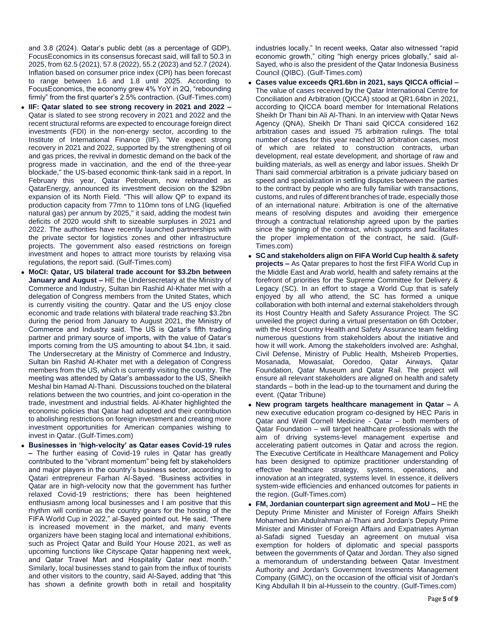and 3.8 (2024). Qatar's public debt (as a percentage of GDP), FocusEconomics in its consensus forecast said, will fall to 50.3 in 2025, from 62.5 (2021), 57.8 (2022), 55.2 (2023) and 52.7 (2024). Inflation based on consumer price index (CPI) has been forecast to range between 1.6 and 1.8 until 2025. According to FocusEconomics, the economy grew 4% YoY in 2Q, "rebounding firmly" from the first quarter's 2.5% contraction. (Gulf-Times.com)

- **IIF: Qatar slated to see strong recovery in 2021 and 2022 –** Qatar is slated to see strong recovery in 2021 and 2022 and the recent structural reforms are expected to encourage foreign direct investments (FDI) in the non-energy sector, according to the Institute of International Finance (IIF). "We expect strong recovery in 2021 and 2022, supported by the strengthening of oil and gas prices, the revival in domestic demand on the back of the progress made in vaccination, and the end of the three-year blockade," the US-based economic think-tank said in a report. In February this year, Qatar Petroleum, now rebranded as QatarEnergy, announced its investment decision on the \$29bn expansion of its North Field. "This will allow QP to expand its production capacity from 77mn to 110mn tons of LNG (liquefied natural gas) per annum by 2025," it said, adding the modest twin deficits of 2020 would shift to sizeable surpluses in 2021 and 2022. The authorities have recently launched partnerships with the private sector for logistics zones and other infrastructure projects. The government also eased restrictions on foreign investment and hopes to attract more tourists by relaxing visa regulations, the report said. (Gulf-Times.com)
- **MoCI: Qatar, US bilateral trade account for \$3.2bn between January and August –** HE the Undersecretary at the Ministry of Commerce and Industry, Sultan bin Rashid Al-Khater met with a delegation of Congress members from the United States, which is currently visiting the country. Qatar and the US enjoy close economic and trade relations with bilateral trade reaching \$3.2bn during the period from January to August 2021, the Ministry of Commerce and Industry said. The US is Qatar's fifth trading partner and primary source of imports, with the value of Qatar's imports coming from the US amounting to about \$4.1bn, it said. The Undersecretary at the Ministry of Commerce and Industry, Sultan bin Rashid Al-Khater met with a delegation of Congress members from the US, which is currently visiting the country. The meeting was attended by Qatar's ambassador to the US, Sheikh Meshal bin Hamad Al-Thani. Discussions touched on the bilateral relations between the two countries, and joint co-operation in the trade, investment and industrial fields. Al-Khater highlighted the economic policies that Qatar had adopted and their contribution to abolishing restrictions on foreign investment and creating more investment opportunities for American companies wishing to invest in Qatar. (Gulf-Times.com)
- **Businesses in 'high-velocity' as Qatar eases Covid-19 rules –** The further easing of Covid-19 rules in Qatar has greatly contributed to the "vibrant momentum" being felt by stakeholders and major players in the country's business sector, according to Qatari entrepreneur Farhan Al-Sayed. "Business activities in Qatar are in high-velocity now that the government has further relaxed Covid-19 restrictions; there has been heightened enthusiasm among local businesses and I am positive that this rhythm will continue as the country gears for the hosting of the FIFA World Cup in 2022," al-Sayed pointed out. He said, "There is increased movement in the market, and many events organizers have been staging local and international exhibitions, such as Project Qatar and Build Your House 2021, as well as upcoming functions like Cityscape Qatar happening next week, and Qatar Travel Mart and Hospitality Qatar next month." Similarly, local businesses stand to gain from the influx of tourists and other visitors to the country, said Al-Sayed, adding that "this has shown a definite growth both in retail and hospitality

industries locally." In recent weeks, Qatar also witnessed "rapid economic growth," citing "high energy prices globally," said al-Sayed, who is also the president of the Qatar Indonesia Business Council (QIBC). (Gulf-Times.com)

- **Cases value exceeds QR1.6bn in 2021, says QICCA official –** The value of cases received by the Qatar International Centre for Conciliation and Arbitration (QICCA) stood at QR1.64bn in 2021, according to QICCA board member for International Relations Sheikh Dr Thani bin Ali Al-Thani. In an interview with Qatar News Agency (QNA), Sheikh Dr Thani said QICCA considered 162 arbitration cases and issued 75 arbitration rulings. The total number of cases for this year reached 30 arbitration cases, most of which are related to construction contracts, urban development, real estate development, and shortage of raw and building materials, as well as energy and labor issues. Sheikh Dr Thani said commercial arbitration is a private judiciary based on speed and specialization in settling disputes between the parties to the contract by people who are fully familiar with transactions, customs, and rules of different branches of trade, especially those of an international nature. Arbitration is one of the alternative means of resolving disputes and avoiding their emergence through a contractual relationship agreed upon by the parties since the signing of the contract, which supports and facilitates the proper implementation of the contract, he said. (Gulf-Times.com)
- **SC and stakeholders align on FIFA World Cup health & safety projects –** As Qatar prepares to host the first FIFA World Cup in the Middle East and Arab world, health and safety remains at the forefront of priorities for the Supreme Committee for Delivery & Legacy (SC). In an effort to stage a World Cup that is safely enjoyed by all who attend, the SC has formed a unique collaboration with both internal and external stakeholders through its Host Country Health and Safety Assurance Project. The SC unveiled the project during a virtual presentation on 6th October, with the Host Country Health and Safety Assurance team fielding numerous questions from stakeholders about the initiative and how it will work. Among the stakeholders involved are: Ashghal, Civil Defense, Ministry of Public Health, Msheireb Properties, Mosanada, Mowasalat, Ooredoo, Qatar Airways, Qatar Foundation, Qatar Museum and Qatar Rail. The project will ensure all relevant stakeholders are aligned on health and safety standards – both in the lead-up to the tournament and during the event. (Qatar Tribune)
- **New program targets healthcare management in Qatar –** A new executive education program co-designed by HEC Paris in Qatar and Weill Cornell Medicine - Qatar – both members of Qatar Foundation – will target healthcare professionals with the aim of driving systems-level management expertise and accelerating patient outcomes in Qatar and across the region. The Executive Certificate in Healthcare Management and Policy has been designed to optimize practitioner understanding of effective healthcare strategy, systems, operations, and innovation at an integrated, systems level. In essence, it delivers system-wide efficiencies and enhanced outcomes for patients in the region. (Gulf-Times.com)
- **FM, Jordanian counterpart sign agreement and MoU –** HE the Deputy Prime Minister and Minister of Foreign Affairs Sheikh Mohamed bin Abdulrahman al-Thani and Jordan's Deputy Prime Minister and Minister of Foreign Affairs and Expatriates Ayman al-Safadi signed Tuesday an agreement on mutual visa exemption for holders of diplomatic and special passports between the governments of Qatar and Jordan. They also signed a memorandum of understanding between Qatar Investment Authority and Jordan's Government Investments Management Company (GIMC), on the occasion of the official visit of Jordan's King Abdullah II bin al-Hussein to the country. (Gulf-Times.com)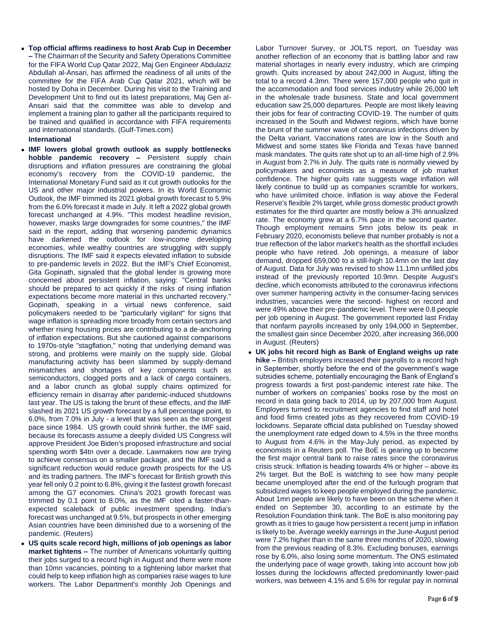**Top official affirms readiness to host Arab Cup in December –** The Chairman of the Security and Safety Operations Committee for the FIFA World Cup Qatar 2022, Maj Gen Engineer Abdulaziz Abdullah al-Ansari, has affirmed the readiness of all units of the committee for the FIFA Arab Cup Qatar 2021, which will be hosted by Doha in December. During his visit to the Training and Development Unit to find out its latest preparations, Maj Gen al-Ansari said that the committee was able to develop and implement a training plan to gather all the participants required to be trained and qualified in accordance with FIFA requirements and international standards. (Gulf-Times.com)

## **International**

- **IMF lowers global growth outlook as supply bottlenecks hobble pandemic recovery –** Persistent supply chain disruptions and inflation pressures are constraining the global economy's recovery from the COVID-19 pandemic, the International Monetary Fund said as it cut growth outlooks for the US and other major industrial powers. In its World Economic Outlook, the IMF trimmed its 2021 global growth forecast to 5.9% from the 6.0% forecast it made in July. It left a 2022 global growth forecast unchanged at 4.9%. "This modest headline revision, however, masks large downgrades for some countries," the IMF said in the report, adding that worsening pandemic dynamics have darkened the outlook for low-income developing economies, while wealthy countries are struggling with supply disruptions. The IMF said it expects elevated inflation to subside to pre-pandemic levels in 2022. But the IMF's Chief Economist, Gita Gopinath, signaled that the global lender is growing more concerned about persistent inflation, saying: "Central banks should be prepared to act quickly if the risks of rising inflation expectations become more material in this uncharted recovery." Gopinath, speaking in a virtual news conference, said policymakers needed to be "particularly vigilant" for signs that wage inflation is spreading more broadly from certain sectors and whether rising housing prices are contributing to a de-anchoring of inflation expectations. But she cautioned against comparisons to 1970s-style "stagflation," noting that underlying demand was strong, and problems were mainly on the supply side. Global manufacturing activity has been slammed by supply-demand mismatches and shortages of key components such as semiconductors, clogged ports and a lack of cargo containers, and a labor crunch as global supply chains optimized for efficiency remain in disarray after pandemic-induced shutdowns last year. The US is taking the brunt of these effects, and the IMF slashed its 2021 US growth forecast by a full percentage point, to 6.0%, from 7.0% in July - a level that was seen as the strongest pace since 1984. US growth could shrink further, the IMF said, because its forecasts assume a deeply divided US Congress will approve President Joe Biden's proposed infrastructure and social spending worth \$4tn over a decade. Lawmakers now are trying to achieve consensus on a smaller package, and the IMF said a significant reduction would reduce growth prospects for the US and its trading partners. The IMF's forecast for British growth this year fell only 0.2 point to 6.8%, giving it the fastest growth forecast among the G7 economies. China's 2021 growth forecast was trimmed by 0.1 point to 8.0%, as the IMF cited a faster-thanexpected scaleback of public investment spending. India's forecast was unchanged at 9.5%, but prospects in other emerging Asian countries have been diminished due to a worsening of the pandemic. (Reuters)
- **US quits scale record high, millions of job openings as labor market tightens –** The number of Americans voluntarily quitting their jobs surged to a record high in August and there were more than 10mn vacancies, pointing to a tightening labor market that could help to keep inflation high as companies raise wages to lure workers. The Labor Department's monthly Job Openings and

Labor Turnover Survey, or JOLTS report, on Tuesday was another reflection of an economy that is battling labor and raw material shortages in nearly every industry, which are crimping growth. Quits increased by about 242,000 in August, lifting the total to a record 4.3mn. There were 157,000 people who quit in the accommodation and food services industry while 26,000 left in the wholesale trade business. State and local government education saw 25,000 departures. People are most likely leaving their jobs for fear of contracting COVID-19. The number of quits increased in the South and Midwest regions, which have borne the brunt of the summer wave of coronavirus infections driven by the Delta variant. Vaccinations rates are low in the South and Midwest and some states like Florida and Texas have banned mask mandates. The quits rate shot up to an all-time high of 2.9% in August from 2.7% in July. The quits rate is normally viewed by policymakers and economists as a measure of job market confidence. The higher quits rate suggests wage inflation will likely continue to build up as companies scramble for workers, who have unlimited choice. Inflation is way above the Federal Reserve's flexible 2% target, while gross domestic product growth estimates for the third quarter are mostly below a 3% annualized rate. The economy grew at a 6.7% pace in the second quarter. Though employment remains 5mn jobs below its peak in February 2020, economists believe that number probably is not a true reflection of the labor market's health as the shortfall includes people who have retired. Job openings, a measure of labor demand, dropped 659,000 to a still-high 10.4mn on the last day of August. Data for July was revised to show 11.1mn unfilled jobs instead of the previously reported 10.9mn. Despite August's decline, which economists attributed to the coronavirus infections over summer hampering activity in the consumer-facing services industries, vacancies were the second- highest on record and were 49% above their pre-pandemic level. There were 0.8 people per job opening in August. The government reported last Friday that nonfarm payrolls increased by only 194,000 in September, the smallest gain since December 2020, after increasing 366,000 in August. (Reuters)

 **UK jobs hit record high as Bank of England weighs up rate hike –** British employers increased their payrolls to a record high in September, shortly before the end of the government's wage subsidies scheme, potentially encouraging the Bank of England's progress towards a first post-pandemic interest rate hike. The number of workers on companies' books rose by the most on record in data going back to 2014, up by 207,000 from August. Employers turned to recruitment agencies to find staff and hotel and food firms created jobs as they recovered from COVID-19 lockdowns. Separate official data published on Tuesday showed the unemployment rate edged down to 4.5% in the three months to August from 4.6% in the May-July period, as expected by economists in a Reuters poll. The BoE is gearing up to become the first major central bank to raise rates since the coronavirus crisis struck. Inflation is heading towards 4% or higher – above its 2% target. But the BoE is watching to see how many people became unemployed after the end of the furlough program that subsidized wages to keep people employed during the pandemic. About 1mn people are likely to have been on the scheme when it ended on September 30, according to an estimate by the Resolution Foundation think tank. The BoE is also monitoring pay growth as it tries to gauge how persistent a recent jump in inflation is likely to be. Average weekly earnings in the June-August period were 7.2% higher than in the same three months of 2020, slowing from the previous reading of 8.3%. Excluding bonuses, earnings rose by 6.0%, also losing some momentum. The ONS estimated the underlying pace of wage growth, taking into account how job losses during the lockdowns affected predominantly lower-paid workers, was between 4.1% and 5.6% for regular pay in nominal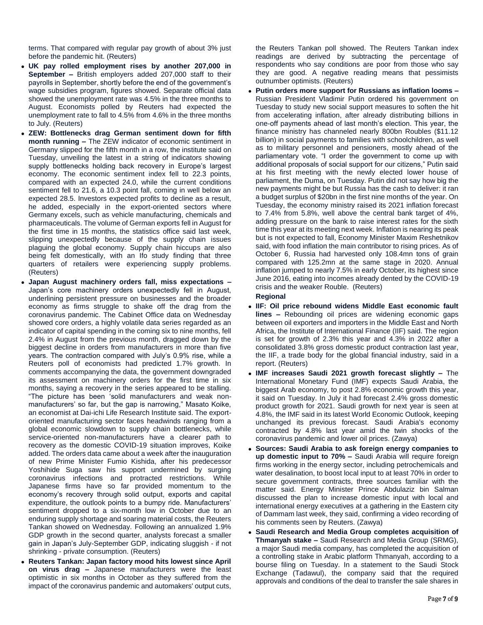terms. That compared with regular pay growth of about 3% just before the pandemic hit. (Reuters)

- **UK pay rolled employment rises by another 207,000 in September –** British employers added 207,000 staff to their payrolls in September, shortly before the end of the government's wage subsidies program, figures showed. Separate official data showed the unemployment rate was 4.5% in the three months to August. Economists polled by Reuters had expected the unemployment rate to fall to 4.5% from 4.6% in the three months to July. (Reuters)
- **ZEW: Bottlenecks drag German sentiment down for fifth month running –** The ZEW indicator of economic sentiment in Germany slipped for the fifth month in a row, the institute said on Tuesday, unveiling the latest in a string of indicators showing supply bottlenecks holding back recovery in Europe's largest economy. The economic sentiment index fell to 22.3 points, compared with an expected 24.0, while the current conditions sentiment fell to 21.6, a 10.3 point fall, coming in well below an expected 28.5. Investors expected profits to decline as a result, he added, especially in the export-oriented sectors where Germany excels, such as vehicle manufacturing, chemicals and pharmaceuticals. The volume of German exports fell in August for the first time in 15 months, the statistics office said last week, slipping unexpectedly because of the supply chain issues plaguing the global economy. Supply chain hiccups are also being felt domestically, with an Ifo study finding that three quarters of retailers were experiencing supply problems. (Reuters)
- **Japan August machinery orders fall, miss expectations –** Japan's core machinery orders unexpectedly fell in August, underlining persistent pressure on businesses and the broader economy as firms struggle to shake off the drag from the coronavirus pandemic. The Cabinet Office data on Wednesday showed core orders, a highly volatile data series regarded as an indicator of capital spending in the coming six to nine months, fell 2.4% in August from the previous month, dragged down by the biggest decline in orders from manufacturers in more than five years. The contraction compared with July's 0.9% rise, while a Reuters poll of economists had predicted 1.7% growth. In comments accompanying the data, the government downgraded its assessment on machinery orders for the first time in six months, saying a recovery in the series appeared to be stalling. "The picture has been 'solid manufacturers and weak nonmanufacturers' so far, but the gap is narrowing," Masato Koike, an economist at Dai-ichi Life Research Institute said. The exportoriented manufacturing sector faces headwinds ranging from a global economic slowdown to supply chain bottlenecks, while service-oriented non-manufacturers have a clearer path to recovery as the domestic COVID-19 situation improves, Koike added. The orders data came about a week after the inauguration of new Prime Minister Fumio Kishida, after his predecessor Yoshihide Suga saw his support undermined by surging coronavirus infections and protracted restrictions. While Japanese firms have so far provided momentum to the economy's recovery through solid output, exports and capital expenditure, the outlook points to a bumpy ride. Manufacturers' sentiment dropped to a six-month low in October due to an enduring supply shortage and soaring material costs, the Reuters Tankan showed on Wednesday. Following an annualized 1.9% GDP growth in the second quarter, analysts forecast a smaller gain in Japan's July-September GDP, indicating sluggish - if not shrinking - private consumption. (Reuters)
- **Reuters Tankan: Japan factory mood hits lowest since April on virus drag –** Japanese manufacturers were the least optimistic in six months in October as they suffered from the impact of the coronavirus pandemic and automakers' output cuts,

the Reuters Tankan poll showed. The Reuters Tankan index readings are derived by subtracting the percentage of respondents who say conditions are poor from those who say they are good. A negative reading means that pessimists outnumber optimists. (Reuters)

 **Putin orders more support for Russians as inflation looms –** Russian President Vladimir Putin ordered his government on Tuesday to study new social support measures to soften the hit from accelerating inflation, after already distributing billions in one-off payments ahead of last month's election. This year, the finance ministry has channeled nearly 800bn Roubles (\$11.12 billion) in social payments to families with schoolchildren, as well as to military personnel and pensioners, mostly ahead of the parliamentary vote. "I order the government to come up with additional proposals of social support for our citizens," Putin said at his first meeting with the newly elected lower house of parliament, the Duma, on Tuesday. Putin did not say how big the new payments might be but Russia has the cash to deliver: it ran a budget surplus of \$20bn in the first nine months of the year. On Tuesday, the economy ministry raised its 2021 inflation forecast to 7.4% from 5.8%, well above the central bank target of 4%, adding pressure on the bank to raise interest rates for the sixth time this year at its meeting next week. Inflation is nearing its peak but is not expected to fall, Economy Minister Maxim Reshetnikov said, with food inflation the main contributor to rising prices. As of October 6, Russia had harvested only 108.4mn tons of grain compared with 125.2mn at the same stage in 2020. Annual inflation jumped to nearly 7.5% in early October, its highest since June 2016, eating into incomes already dented by the COVID-19 crisis and the weaker Rouble. (Reuters)

## **Regional**

- **IIF: Oil price rebound widens Middle East economic fault lines –** Rebounding oil prices are widening economic gaps between oil exporters and importers in the Middle East and North Africa, the Institute of International Finance (IIF) said. The region is set for growth of 2.3% this year and 4.3% in 2022 after a consolidated 3.8% gross domestic product contraction last year, the IIF, a trade body for the global financial industry, said in a report. (Reuters)
- **IMF increases Saudi 2021 growth forecast slightly –** The International Monetary Fund (IMF) expects Saudi Arabia, the biggest Arab economy, to post 2.8% economic growth this year, it said on Tuesday. In July it had forecast 2.4% gross domestic product growth for 2021. Saudi growth for next year is seen at 4.8%, the IMF said in its latest World Economic Outlook, keeping unchanged its previous forecast. Saudi Arabia's economy contracted by 4.8% last year amid the twin shocks of the coronavirus pandemic and lower oil prices. (Zawya)
- **Sources: Saudi Arabia to ask foreign energy companies to up domestic input to 70% –** Saudi Arabia will require foreign firms working in the energy sector, including petrochemicals and water desalination, to boost local input to at least 70% in order to secure government contracts, three sources familiar with the matter said. Energy Minister Prince Abdulaziz bin Salman discussed the plan to increase domestic input with local and international energy executives at a gathering in the Eastern city of Dammam last week, they said, confirming a video recording of his comments seen by Reuters. (Zawya)
- **Saudi Research and Media Group completes acquisition of Thmanyah stake –** Saudi Research and Media Group (SRMG), a major Saudi media company, has completed the acquisition of a controlling stake in Arabic platform Thmanyah, according to a bourse filing on Tuesday. In a statement to the Saudi Stock Exchange (Tadawul), the company said that the required approvals and conditions of the deal to transfer the sale shares in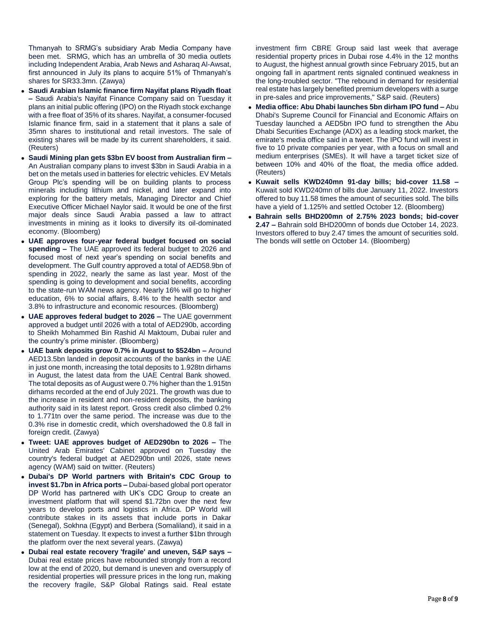Thmanyah to SRMG's subsidiary Arab Media Company have been met. SRMG, which has an umbrella of 30 media outlets including Independent Arabia, Arab News and Asharaq Al-Awsat, first announced in July its plans to acquire 51% of Thmanyah's shares for SR33.3mn. (Zawya)

- **Saudi Arabian Islamic finance firm Nayifat plans Riyadh float –** Saudi Arabia's Nayifat Finance Company said on Tuesday it plans an initial public offering (IPO) on the Riyadh stock exchange with a free float of 35% of its shares. Nayifat, a consumer-focused Islamic finance firm, said in a statement that it plans a sale of 35mn shares to institutional and retail investors. The sale of existing shares will be made by its current shareholders, it said. (Reuters)
- **Saudi Mining plan gets \$3bn EV boost from Australian firm –** An Australian company plans to invest \$3bn in Saudi Arabia in a bet on the metals used in batteries for electric vehicles. EV Metals Group Plc's spending will be on building plants to process minerals including lithium and nickel, and later expand into exploring for the battery metals, Managing Director and Chief Executive Officer Michael Naylor said. It would be one of the first major deals since Saudi Arabia passed a law to attract investments in mining as it looks to diversify its oil-dominated economy. (Bloomberg)
- **UAE approves four-year federal budget focused on social spending –** The UAE approved its federal budget to 2026 and focused most of next year's spending on social benefits and development. The Gulf country approved a total of AED58.9bn of spending in 2022, nearly the same as last year. Most of the spending is going to development and social benefits, according to the state-run WAM news agency. Nearly 16% will go to higher education, 6% to social affairs, 8.4% to the health sector and 3.8% to infrastructure and economic resources. (Bloomberg)
- **UAE approves federal budget to 2026 –** The UAE government approved a budget until 2026 with a total of AED290b, according to Sheikh Mohammed Bin Rashid Al Maktoum, Dubai ruler and the country's prime minister. (Bloomberg)
- **UAE bank deposits grow 0.7% in August to \$524bn –** Around AED13.5bn landed in deposit accounts of the banks in the UAE in just one month, increasing the total deposits to 1.928tn dirhams in August, the latest data from the UAE Central Bank showed. The total deposits as of August were 0.7% higher than the 1.915tn dirhams recorded at the end of July 2021. The growth was due to the increase in resident and non-resident deposits, the banking authority said in its latest report. Gross credit also climbed 0.2% to 1.771tn over the same period. The increase was due to the 0.3% rise in domestic credit, which overshadowed the 0.8 fall in foreign credit. (Zawya)
- **Tweet: UAE approves budget of AED290bn to 2026 –** The United Arab Emirates' Cabinet approved on Tuesday the country's federal budget at AED290bn until 2026, state news agency (WAM) said on twitter. (Reuters)
- **Dubai's DP World partners with Britain's CDC Group to invest \$1.7bn in Africa ports –** Dubai-based global port operator DP World has partnered with UK's CDC Group to create an investment platform that will spend \$1.72bn over the next few years to develop ports and logistics in Africa. DP World will contribute stakes in its assets that include ports in Dakar (Senegal), Sokhna (Egypt) and Berbera (Somaliland), it said in a statement on Tuesday. It expects to invest a further \$1bn through the platform over the next several years. (Zawya)
- **Dubai real estate recovery 'fragile' and uneven, S&P says –** Dubai real estate prices have rebounded strongly from a record low at the end of 2020, but demand is uneven and oversupply of residential properties will pressure prices in the long run, making the recovery fragile, S&P Global Ratings said. Real estate

investment firm CBRE Group said last week that average residential property prices in Dubai rose 4.4% in the 12 months to August, the highest annual growth since February 2015, but an ongoing fall in apartment rents signaled continued weakness in the long-troubled sector. "The rebound in demand for residential real estate has largely benefited premium developers with a surge in pre-sales and price improvements," S&P said. (Reuters)

- **Media office: Abu Dhabi launches 5bn dirham IPO fund –** Abu Dhabi's Supreme Council for Financial and Economic Affairs on Tuesday launched a AED5bn IPO fund to strengthen the Abu Dhabi Securities Exchange (ADX) as a leading stock market, the emirate's media office said in a tweet. The IPO fund will invest in five to 10 private companies per year, with a focus on small and medium enterprises (SMEs). It will have a target ticket size of between 10% and 40% of the float, the media office added. (Reuters)
- **Kuwait sells KWD240mn 91-day bills; bid-cover 11.58 –** Kuwait sold KWD240mn of bills due January 11, 2022. Investors offered to buy 11.58 times the amount of securities sold. The bills have a yield of 1.125% and settled October 12. (Bloomberg)
- **Bahrain sells BHD200mn of 2.75% 2023 bonds; bid-cover 2.47 –** Bahrain sold BHD200mn of bonds due October 14, 2023. Investors offered to buy 2.47 times the amount of securities sold. The bonds will settle on October 14. (Bloomberg)